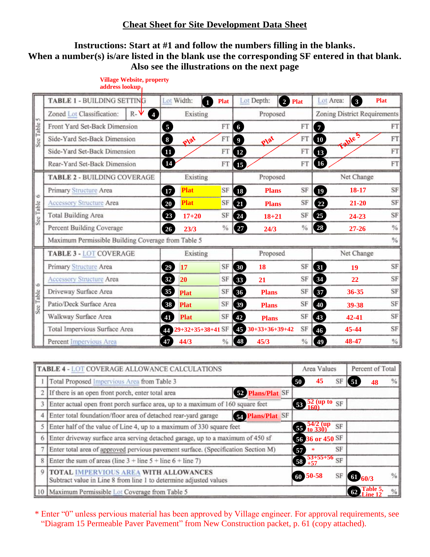## **Cheat Sheet for Site Development Data Sheet**

## **Instructions: Start at #1 and follow the numbers filling in the blanks. When a number(s) is/are listed in the blank use the corresponding SF entered in that blank. Also see the illustrations on the next page**

| <b>In</b>      | <b>TABLE 1 - BUILDING SETTING</b>                    | Lot Width:<br>$\mathbf{I}$     | <b>Plat</b>    | Lot Depth:<br>$\overline{2}$        | Plat                         | Lot Area:<br>$\left[\begin{array}{c}3\end{array}\right]$ | <b>Plat</b>   |
|----------------|------------------------------------------------------|--------------------------------|----------------|-------------------------------------|------------------------------|----------------------------------------------------------|---------------|
|                | Zoned Lot Classification:<br>$R -$<br>$\overline{A}$ | Existing                       | Proposed       |                                     | Zoning District Requirements |                                                          |               |
|                | Front Yard Set-Back Dimension                        | 5                              | FT <sub></sub> | $6\phantom{.}6$                     | FT                           | $\overline{7}$                                           | FT            |
| See Table      | Side-Yard Set-Back Dimension                         | 8<br>Plat                      | FT             | Plat<br>$\overline{\mathbf{9}}$     | FT                           | <b>Table 5</b><br>$\boxed{10}$                           | FT            |
|                | Side-Yard Set-Back Dimension                         |                                | FT             | 12                                  | FT                           | <b>13</b>                                                | FT            |
|                | Rear-Yard Set-Back Dimension                         | $\overline{14}$                | FT             | <b>E</b>                            | FT                           | (16)                                                     | FT            |
| 6              | <b>TABLE 2 - BUILDING COVERAGE</b>                   | Existing<br>Proposed           |                | Net Change                          |                              |                                                          |               |
|                | Primary Structure Area                               | Plat<br>Ø                      | SF             | <b>18</b><br><b>Plans</b>           | SF                           | $\boxed{19}$<br>18-17                                    | SF            |
|                | Accessory Structure Area                             | <b>Plat</b><br>$\overline{20}$ | <b>SF</b>      | 21<br><b>Plans</b>                  | SF                           | 21-20<br>22                                              | SF            |
| See Table      | <b>Total Building Area</b>                           | 23<br>$17 + 20$                | SF             | 24<br>$18 + 21$                     | SF                           | $\left( 25\right)$<br>24-23                              | SF            |
|                | Percent Building Coverage                            | 26 <sup>2</sup><br>23/3        | $\frac{0}{6}$  | $\left( 27\right)$<br>24/3          | $\frac{0}{2}$                | (28)<br>$27 - 26$                                        | $\frac{0}{6}$ |
|                | Maximum Permissible Building Coverage from Table 5   |                                |                |                                     |                              |                                                          | %             |
| ه<br>See Table | TABLE 3 - LOT COVERAGE                               | Existing                       |                | Proposed                            |                              | Net Change                                               |               |
|                | <b>Primary Structure Area</b>                        | 17<br>29                       | SF             | 18<br>$\left( 30 \right)$           | SF                           | 60<br>19                                                 | SF            |
|                | <b>Accessory Structure Area</b>                      | 32<br>20                       | SF             | 33<br>21                            | SF                           | 34<br>22                                                 | SF            |
|                | Driveway Surface Area                                | 35<br><b>Plat</b>              | SF             | $\overline{36}$<br><b>Plans</b>     | SF                           | 37<br>36-35                                              | SF            |
|                | Patio/Deck Surface Area                              | 38<br><b>Plat</b>              | SF             | $\left(39\right)$<br><b>Plans</b>   | SF                           | $\boxed{40}$<br>39-38                                    | SF            |
|                | Walkway Surface Area                                 | 41<br><b>Plat</b>              | SF             | $\boxed{42}$<br><b>Plans</b>        | SF                           | $\left( 43\right)$<br>42-41                              | SF            |
|                | Total Impervious Surface Area                        | 29+32+35+38+41 SF<br>44        |                | $30+33+36+39+42$<br>$\overline{45}$ | SF                           | 45-44<br>$\boxed{46}$                                    | SF            |
|                | Percent Impervious Area                              | 44/3<br>47                     | $\frac{0}{6}$  | 45/3<br>$\left( 48 \right)$         | $\frac{0}{6}$                | 48-47<br>$\overline{49}$                                 | $\%$          |

## and the *address lookup* and the *address lookup* and the *address lookup* and the *address lookup* and  $\frac{1}{2}$  and  $\frac{1}{2}$  and  $\frac{1}{2}$  and  $\frac{1}{2}$  and  $\frac{1}{2}$  and  $\frac{1}{2}$  and  $\frac{1}{2}$  and  $\frac{1}{2}$  and  $\frac{1}{$ **Village Website, property**

| TABLE 4 - LOT COVERAGE ALLOWANCE CALCULATIONS |                                                                                                                   |                 | Area Values                                |           | Percent of Total   |      |
|-----------------------------------------------|-------------------------------------------------------------------------------------------------------------------|-----------------|--------------------------------------------|-----------|--------------------|------|
|                                               | Total Proposed Impervious Area from Table 3                                                                       | 50 <sub>1</sub> | 45                                         | SF        | $\vert$ 51<br>48   | %    |
|                                               | 52 Plans/Plat SF<br>If there is an open front porch, enter total area                                             |                 |                                            |           |                    |      |
|                                               | Enter actual open front porch surface area, up to a maximum of 160 square feet                                    |                 | 53 <sup>52</sup> (up to SF                 |           |                    |      |
|                                               | Enter total foundation/floor area of detached rear-yard garage<br><b>54 Plans/Plat SF</b>                         |                 |                                            |           |                    |      |
|                                               | Enter half of the value of Line 4, up to a maximum of 330 square feet                                             |                 | $\frac{54}{2}$ (up)<br>$\frac{54}{2}$ (up) | <b>SF</b> |                    |      |
|                                               | Enter driveway surface area serving detached garage, up to a maximum of 450 sf                                    |                 | 56 36 or 450 SF                            |           |                    |      |
|                                               | Enter total area of approved pervious pavement surface. (Specification Section M)                                 |                 | $\ast$                                     | SF        |                    |      |
|                                               | Enter the sum of areas (line $3 +$ line $5 +$ line $6 +$ line 7)                                                  |                 | 58 53+55+56 SF                             |           |                    |      |
|                                               | <b>TOTAL IMPERVIOUS AREA WITH ALLOWANCES</b><br>Subtract value in Line 8 from line 1 to determine adjusted values |                 | $60\,50-58$                                | SF        | $\boxed{6}$ 60/3   | $\%$ |
|                                               | 10   Maximum Permissible Lot Coverage from Table 5                                                                |                 |                                            |           | <b>62</b> Table 5, | $\%$ |

\* Enter "0" unless pervious material has been approved by Village engineer. For approval requirements, see "Diagram 15 Permeable Paver Pavement" from New Construction packet, p. 61 (copy attached).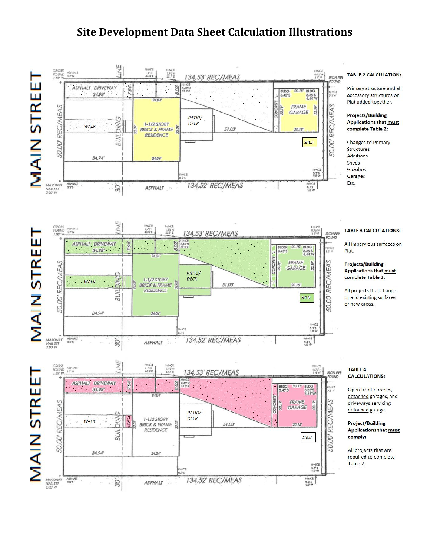## **Site Development Data Sheet Calculation Illustrations**